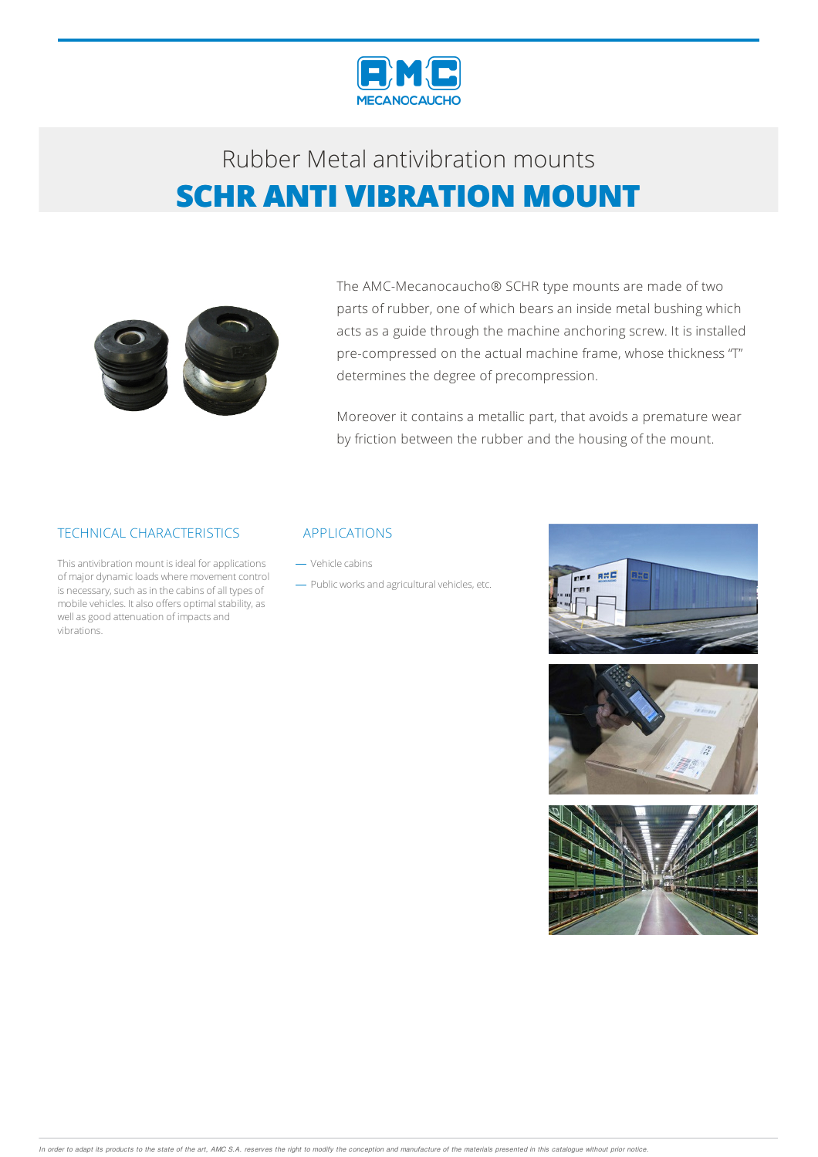

### Rubber Metalantivibration mounts **SCHR ANTI VIBRATION MOUNT**



The AMC-Mecanocaucho® SCHR type mounts are made of two parts of rubber, one of which bears an inside metal bushing which acts as a guide through the machine anchoring screw. It is installed pre-compressed on the actual machine frame, whose thickness "T" determines the degree of precompression.

Moreover it contains a metallic part, that avoids a premature wear by friction between the rubber and the housing of the mount.

#### TECHNICAL CHARACTERISTICS

This antivibration mount is ideal for applications of major dynamic loads where movement control is necessary, such as in the cabins of all types of mobile vehicles. It also offers optimal stability, as well as good attenuation of impacts and vibrations.

#### APPLICATIONS

- Vehicle cabins

- Public works and agricultural vehicles, etc.





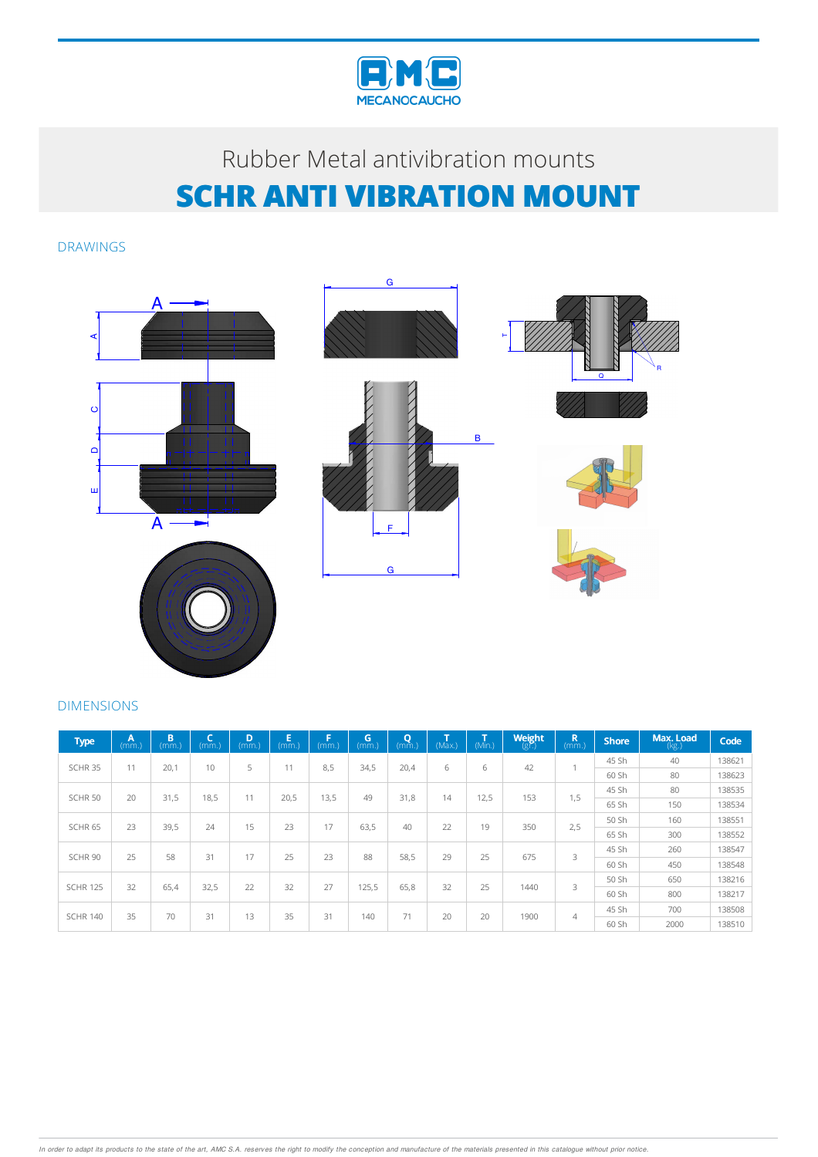

# Rubber Metal antivibration mounts **SCHR ANTI VIBRATION MOUNT**

G

### DRAWINGS









#### DIMENSIONS

| <b>Type</b>        | A<br>(mm.) | B<br>(mm.) | c<br>u<br>(mm.) | D<br>(mm) | E<br>(mm) | F<br>(mm.) | G<br>(mm.) | $\mathbf Q$<br>$(m\bar{m})$ | $\mathbf{T}$<br>(Max.) | T<br>(Min.) | Weight<br>(gr.) | $\mathbb{R}$<br>(mm.) | <b>Shore</b> | Max. Load<br>(kg.) | Code   |
|--------------------|------------|------------|-----------------|-----------|-----------|------------|------------|-----------------------------|------------------------|-------------|-----------------|-----------------------|--------------|--------------------|--------|
| SCHR 35            | 11         | 20,1       | 10              | 5         | 11        | 8,5        | 34,5       | 20,4                        | 6                      | 6           | 42              |                       | 45 Sh        | 40                 | 138621 |
|                    |            |            |                 |           |           |            |            |                             |                        |             |                 |                       | 60 Sh        | 80                 | 138623 |
| SCHR 50            | 20         | 31,5       | 18,5            | 11        | 20,5      | 13,5       | 49         | 31,8                        | 14                     | 12,5        | 153             | 1,5                   | 45 Sh        | 80                 | 138535 |
|                    |            |            |                 |           |           |            |            |                             |                        |             |                 |                       | 65 Sh        | 150                | 138534 |
| SCHR <sub>65</sub> | 23         | 39,5       | 24              | 15        | 23        | 17         | 63,5       | 40                          | 22                     | 19          | 350             | 2,5                   | 50 Sh        | 160                | 138551 |
|                    |            |            |                 |           |           |            |            |                             |                        |             |                 |                       | 65 Sh        | 300                | 138552 |
| SCHR 90            | 25         | 58         | 31              | 17        | 25        | 23         | 88         | 58,5                        | 29                     | 25          | 675             | 3                     | 45 Sh        | 260                | 138547 |
|                    |            |            |                 |           |           |            |            |                             |                        |             |                 |                       | 60 Sh        | 450                | 138548 |
| <b>SCHR 125</b>    | 32         | 65,4       | 32,5            | 22        | 32        | 27         | 125,5      | 65,8                        | 32                     | 25          | 1440            | 3                     | 50 Sh        | 650                | 138216 |
|                    |            |            |                 |           |           |            |            |                             |                        |             |                 |                       | 60 Sh        | 800                | 138217 |
| <b>SCHR 140</b>    | 35         | 70         | 31              | 13        | 35        | 31         | 140        | 71                          | 20                     | 20          | 1900            | $\overline{4}$        | 45 Sh        | 700                | 138508 |
|                    |            |            |                 |           |           |            |            |                             |                        |             |                 |                       | 60 Sh        | 2000               | 138510 |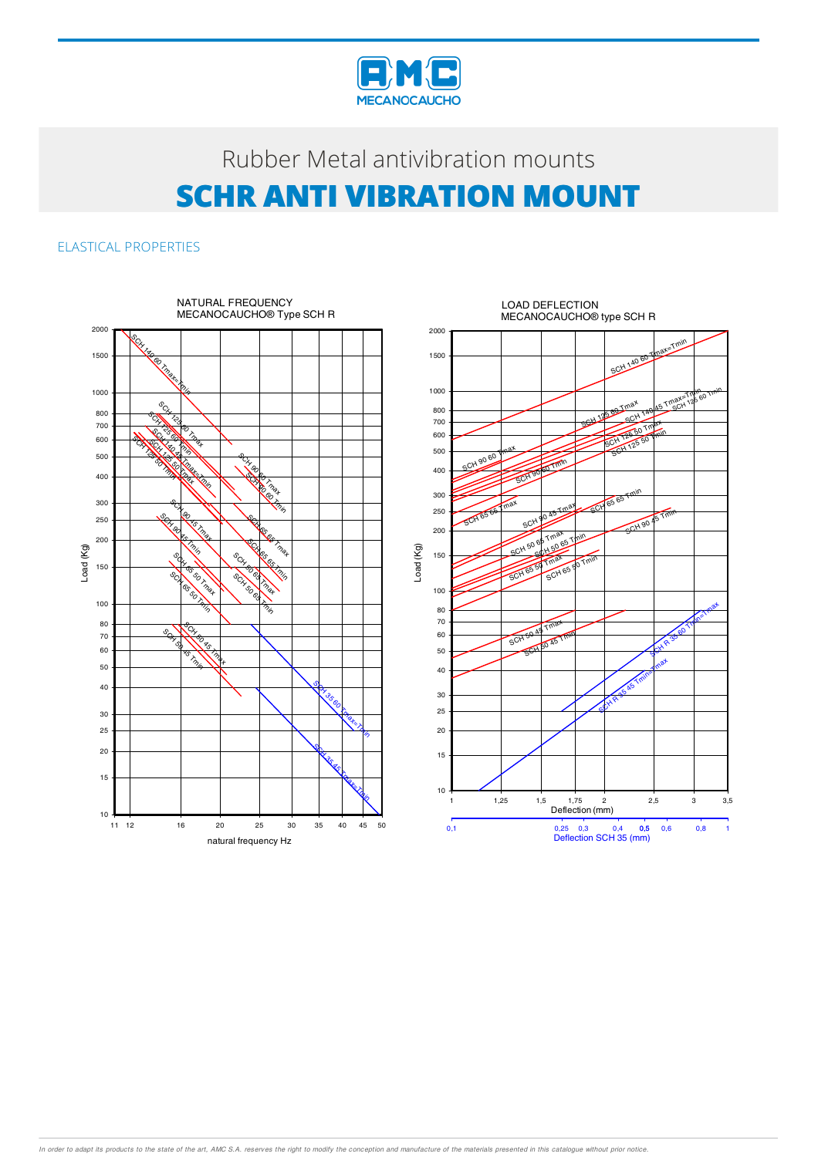

# Rubber Metal antivibration mounts **SCHR ANTI VIBRATION MOUNT**

ELASTICAL PROPERTIES